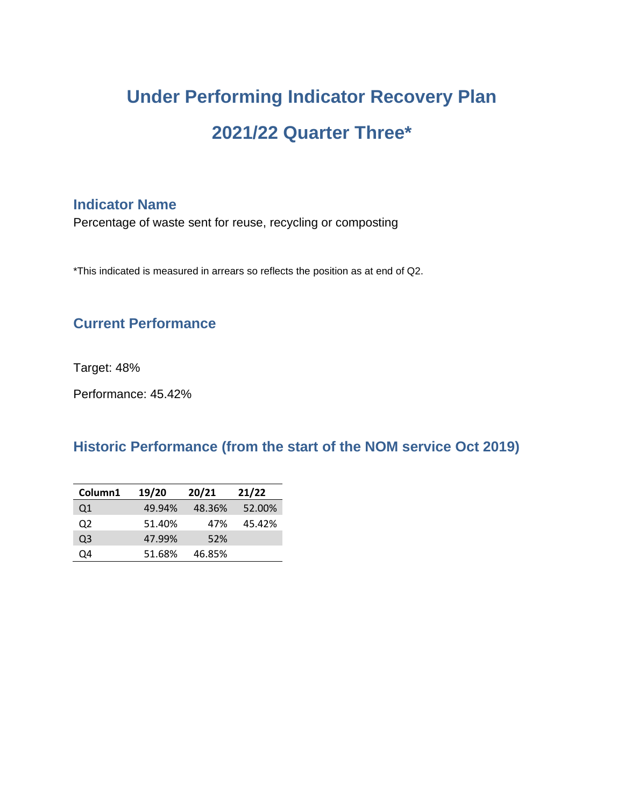# **Under Performing Indicator Recovery Plan 2021/22 Quarter Three\***

# **Indicator Name**

Percentage of waste sent for reuse, recycling or composting

\*This indicated is measured in arrears so reflects the position as at end of Q2.

# **Current Performance**

Target: 48%

Performance: 45.42%

#### **Historic Performance (from the start of the NOM service Oct 2019)**

| Column1 | 19/20  | 20/21  | 21/22  |
|---------|--------|--------|--------|
| Q1      | 49.94% | 48.36% | 52.00% |
| 02      | 51.40% | 47%    | 45.42% |
| O3      | 47.99% | 52%    |        |
| Ο4      | 51.68% | 46.85% |        |